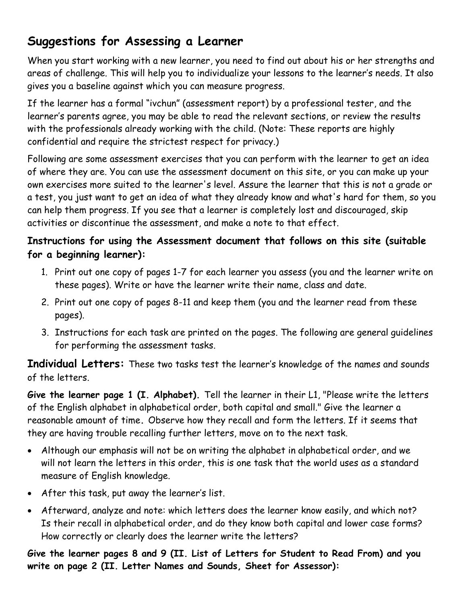## **Suggestions for Assessing a Learner**

When you start working with a new learner, you need to find out about his or her strengths and areas of challenge. This will help you to individualize your lessons to the learner's needs. It also gives you a baseline against which you can measure progress.

If the learner has a formal "ivchun" (assessment report) by a professional tester, and the learner's parents agree, you may be able to read the relevant sections, or review the results with the professionals already working with the child. (Note: These reports are highly confidential and require the strictest respect for privacy.)

Following are some assessment exercises that you can perform with the learner to get an idea of where they are. You can use the assessment document on this site, or you can make up your own exercises more suited to the learner's level. Assure the learner that this is not a grade or a test, you just want to get an idea of what they already know and what's hard for them, so you can help them progress. If you see that a learner is completely lost and discouraged, skip activities or discontinue the assessment, and make a note to that effect.

## **Instructions for using the Assessment document that follows on this site (suitable for a beginning learner):**

- 1. Print out one copy of pages 1-7 for each learner you assess (you and the learner write on these pages). Write or have the learner write their name, class and date.
- 2. Print out one copy of pages 8-11 and keep them (you and the learner read from these pages).
- 3. Instructions for each task are printed on the pages. The following are general guidelines for performing the assessment tasks.

**Individual Letters:** These two tasks test the learner's knowledge of the names and sounds of the letters.

**Give the learner page 1 (I. Alphabet).** Tell the learner in their L1, "Please write the letters of the English alphabet in alphabetical order, both capital and small." Give the learner a reasonable amount of time**.** Observe how they recall and form the letters. If it seems that they are having trouble recalling further letters, move on to the next task.

- Although our emphasis will not be on writing the alphabet in alphabetical order, and we will not learn the letters in this order, this is one task that the world uses as a standard measure of English knowledge.
- After this task, put away the learner's list.
- Afterward, analyze and note: which letters does the learner know easily, and which not? Is their recall in alphabetical order, and do they know both capital and lower case forms? How correctly or clearly does the learner write the letters?

**Give the learner pages 8 and 9 (II. List of Letters for Student to Read From) and you write on page 2 (II. Letter Names and Sounds, Sheet for Assessor):**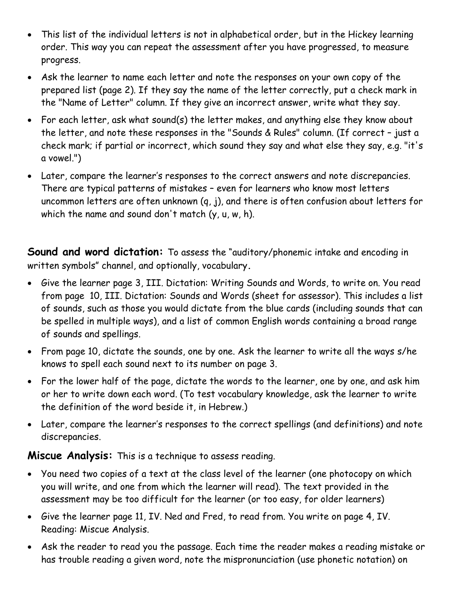- This list of the individual letters is not in alphabetical order, but in the Hickey learning order. This way you can repeat the assessment after you have progressed, to measure progress.
- Ask the learner to name each letter and note the responses on your own copy of the prepared list (page 2). If they say the name of the letter correctly, put a check mark in the "Name of Letter" column. If they give an incorrect answer, write what they say.
- For each letter, ask what sound(s) the letter makes, and anything else they know about the letter, and note these responses in the "Sounds & Rules" column. (If correct – just a check mark; if partial or incorrect, which sound they say and what else they say, e.g. "it's a vowel.")
- Later, compare the learner's responses to the correct answers and note discrepancies. There are typical patterns of mistakes – even for learners who know most letters uncommon letters are often unknown (q, j), and there is often confusion about letters for which the name and sound don't match (y, u, w, h).

**Sound and word dictation:** To assess the "auditory/phonemic intake and encoding in written symbols" channel, and optionally, vocabulary**.**

- Give the learner page 3, III. Dictation: Writing Sounds and Words, to write on. You read from page 10, III. Dictation: Sounds and Words (sheet for assessor). This includes a list of sounds, such as those you would dictate from the blue cards (including sounds that can be spelled in multiple ways), and a list of common English words containing a broad range of sounds and spellings.
- From page 10, dictate the sounds, one by one. Ask the learner to write all the ways s/he knows to spell each sound next to its number on page 3.
- For the lower half of the page, dictate the words to the learner, one by one, and ask him or her to write down each word. (To test vocabulary knowledge, ask the learner to write the definition of the word beside it, in Hebrew.)
- Later, compare the learner's responses to the correct spellings (and definitions) and note discrepancies.

**Miscue Analysis:** This is a technique to assess reading.

- You need two copies of a text at the class level of the learner (one photocopy on which you will write, and one from which the learner will read). The text provided in the assessment may be too difficult for the learner (or too easy, for older learners)
- Give the learner page 11, IV. Ned and Fred, to read from. You write on page 4, IV. Reading: Miscue Analysis.
- Ask the reader to read you the passage. Each time the reader makes a reading mistake or has trouble reading a given word, note the mispronunciation (use phonetic notation) on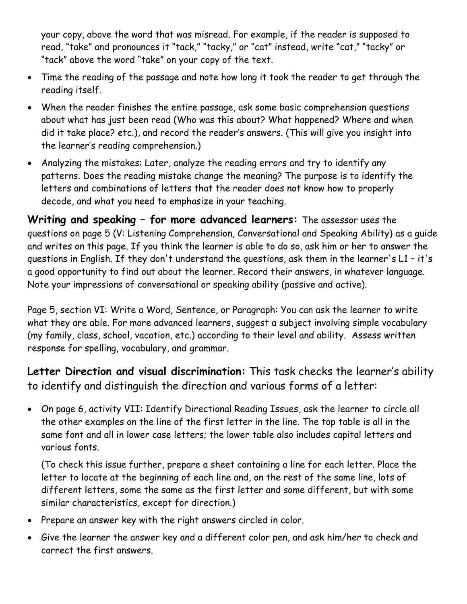your copy, above the word that was misread. For example, if the reader is supposed to read, "take" and pronounces it "tack," "tacky," or "cat" instead, write "cat," "tacky" or "tack" above the word "take" on your copy of the text.

- Time the reading of the passage and note how long it took the reader to get through the reading itself.
- When the reader finishes the entire passage, ask some basic comprehension questions about what has just been read (Who was this about? What happened? Where and when did it take place? etc.), and record the reader's answers. (This will give you insight into the learner's reading comprehension.)
- Analyzing the mistakes: Later, analyze the reading errors and try to identify any patterns. Does the reading mistake change the meaning? The purpose is to identify the letters and combinations of letters that the reader does not know how to properly decode, and what you need to emphasize in your teaching.

**Writing and speaking – for more advanced learners:** The assessor uses the questions on page 5 (V: Listening Comprehension, Conversational and Speaking Ability) as a guide and writes on this page. If you think the learner is able to do so, ask him or her to answer the questions in English. If they don't understand the questions, ask them in the learner's L1 – it's a good opportunity to find out about the learner. Record their answers, in whatever language. Note your impressions of conversational or speaking ability (passive and active).

Page 5, section VI: Write a Word, Sentence, or Paragraph: You can ask the learner to write what they are able. For more advanced learners, suggest a subject involving simple vocabulary (my family, class, school, vacation, etc.) according to their level and ability. Assess written response for spelling, vocabulary, and grammar.

**Letter Direction and visual discrimination:** This task checks the learner's ability to identify and distinguish the direction and various forms of a letter:

 On page 6, activity VII: Identify Directional Reading Issues, ask the learner to circle all the other examples on the line of the first letter in the line. The top table is all in the same font and all in lower case letters; the lower table also includes capital letters and various fonts.

(To check this issue further, prepare a sheet containing a line for each letter. Place the letter to locate at the beginning of each line and, on the rest of the same line, lots of different letters, some the same as the first letter and some different, but with some similar characteristics, except for direction.)

- Prepare an answer key with the right answers circled in color.
- Give the learner the answer key and a different color pen, and ask him/her to check and correct the first answers.